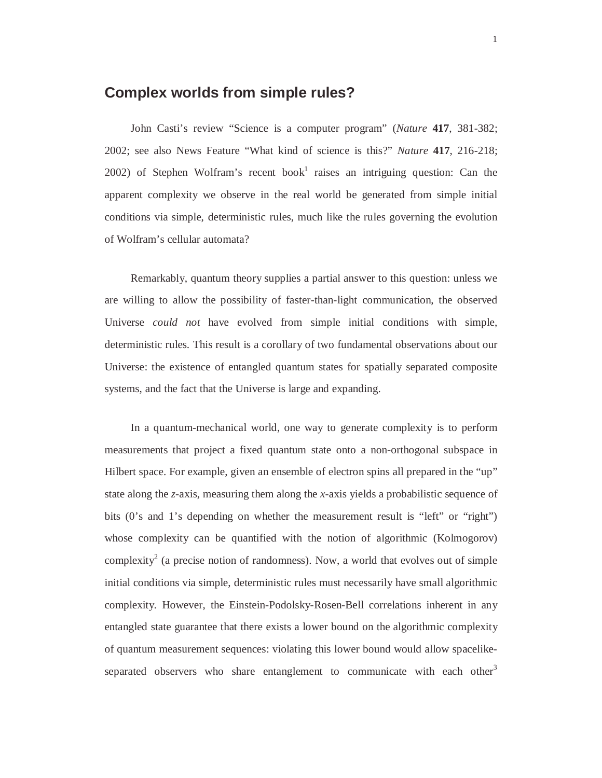## **Complex worlds from simple rules?**

John Casti's review "Science is a computer program" (*Nature* **417**, 381-382; 2002; see also News Feature "What kind of science is this?" *Nature* **417**, 216-218; 2002) of Stephen Wolfram's recent book<sup>1</sup> raises an intriguing question: Can the apparent complexity we observe in the real world be generated from simple initial conditions via simple, deterministic rules, much like the rules governing the evolution of Wolfram's cellular automata?

Remarkably, quantum theory supplies a partial answer to this question: unless we are willing to allow the possibility of faster-than-light communication, the observed Universe *could not* have evolved from simple initial conditions with simple, deterministic rules. This result is a corollary of two fundamental observations about our Universe: the existence of entangled quantum states for spatially separated composite systems, and the fact that the Universe is large and expanding.

In a quantum-mechanical world, one way to generate complexity is to perform measurements that project a fixed quantum state onto a non-orthogonal subspace in Hilbert space. For example, given an ensemble of electron spins all prepared in the "up" state along the *z*-axis, measuring them along the *x*-axis yields a probabilistic sequence of bits (0's and 1's depending on whether the measurement result is "left" or "right") whose complexity can be quantified with the notion of algorithmic (Kolmogorov) complexity<sup>2</sup> (a precise notion of randomness). Now, a world that evolves out of simple initial conditions via simple, deterministic rules must necessarily have small algorithmic complexity. However, the Einstein-Podolsky-Rosen-Bell correlations inherent in any entangled state guarantee that there exists a lower bound on the algorithmic complexity of quantum measurement sequences: violating this lower bound would allow spacelikeseparated observers who share entanglement to communicate with each other<sup>3</sup>